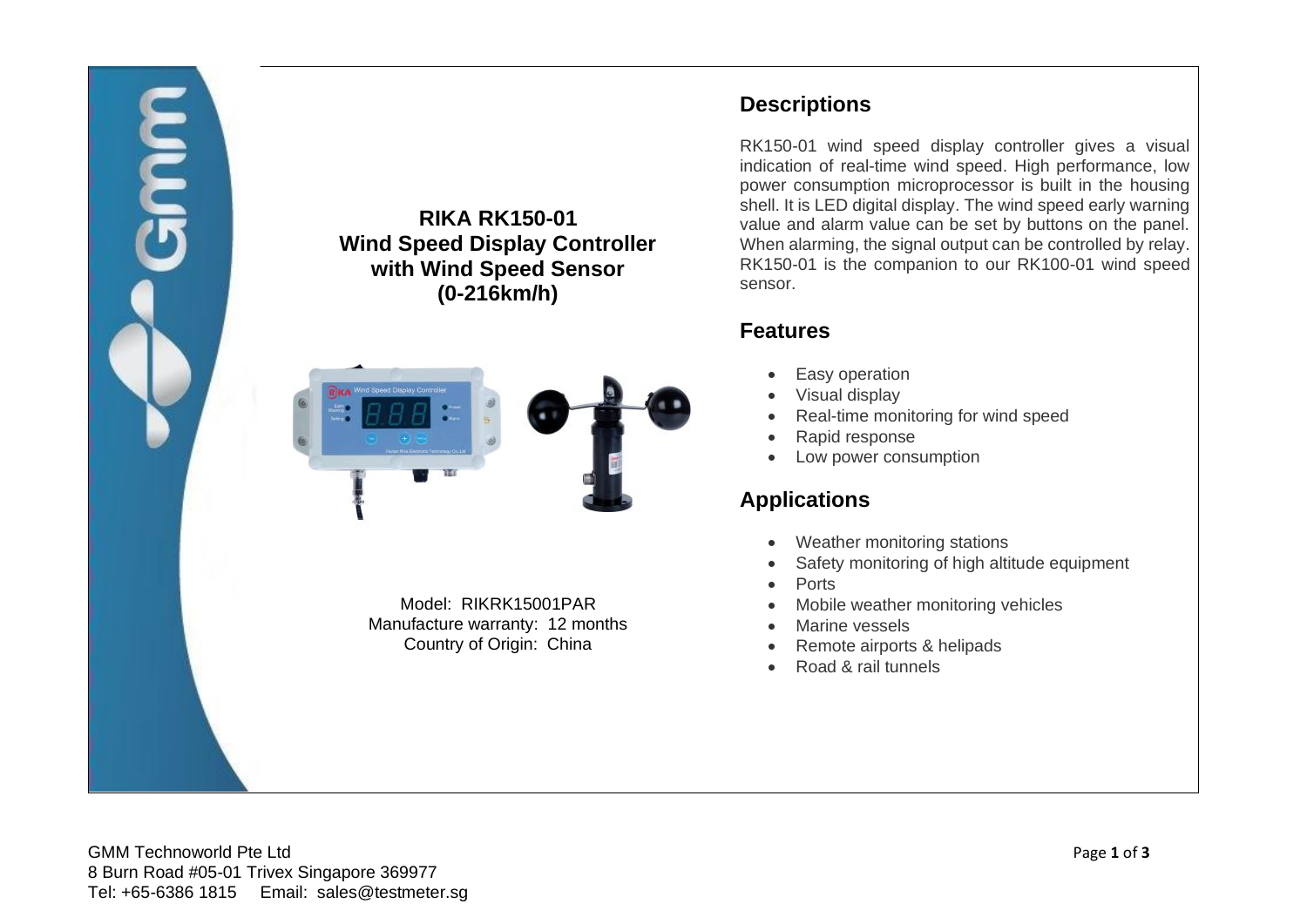

# **Descriptions**

RK150-01 wind speed display controller gives a visual indication of real-time wind speed. High performance, low power consumption microprocessor is built in the housing shell. It is LED digital display. The wind speed early warning value and alarm value can be set by buttons on the panel. When alarming, the signal output can be controlled by relay. RK150-01 is the companion to our RK100-01 wind speed sensor.

### **Features**

- Easy operation
- Visual display
- Real-time monitoring for wind speed
- Rapid response
- Low power consumption

# **Applications**

- Weather monitoring stations
- Safety monitoring of high altitude equipment
- Ports
- Mobile weather monitoring vehicles
- Marine vessels
- Remote airports & helipads
- Road & rail tunnels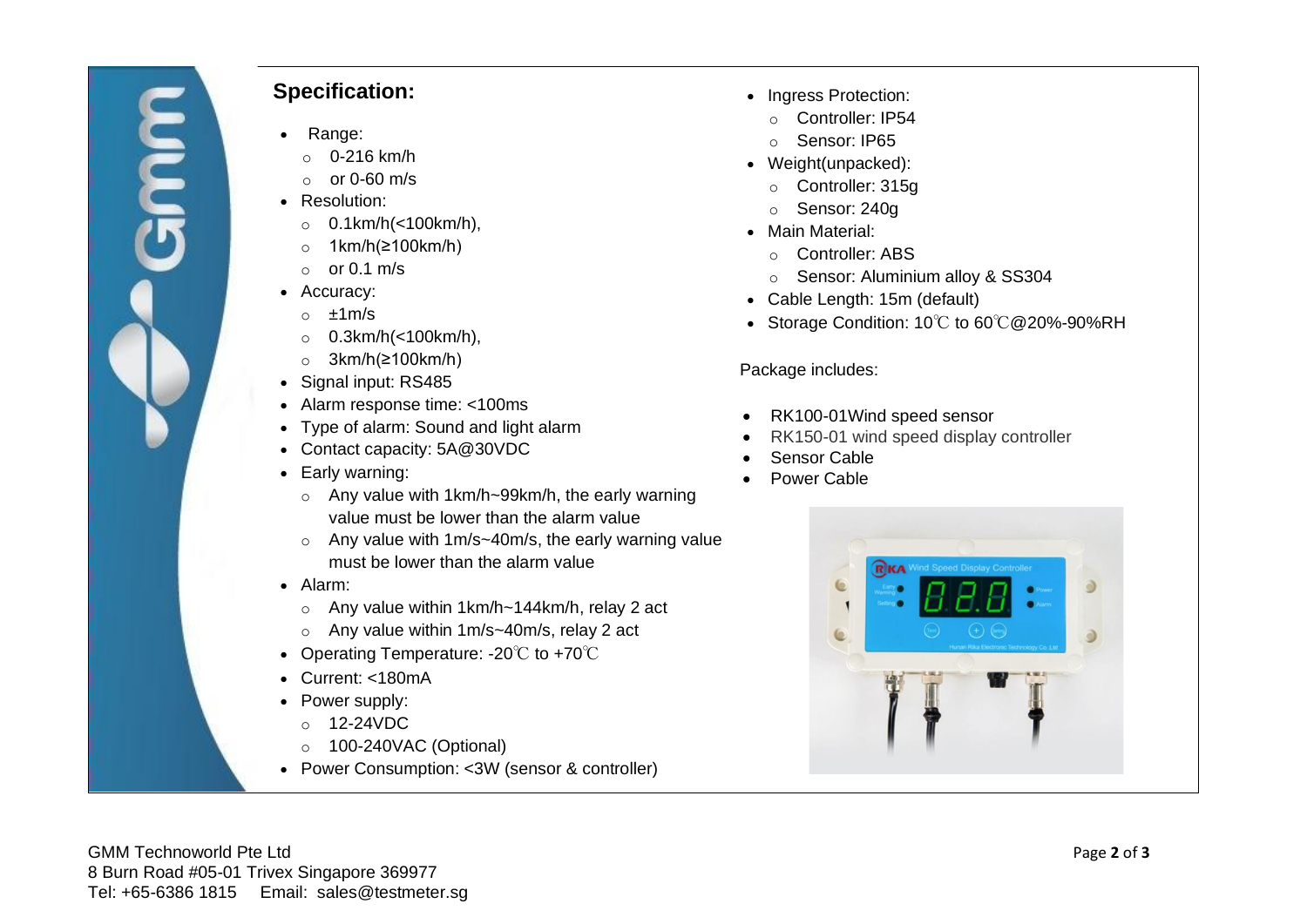# **Specification:**

- Range:
- $O 216$  km/h
- $\circ$  or 0-60 m/s
- Resolution:
	- o 0.1km/h(<100km/h),
	- o 1km/h(≥100km/h)
	- $o$  or 0.1 m/s
- Accuracy:
	- $o \pm 1$  m/s
	- o 0.3km/h(<100km/h),
	- o 3km/h(≥100km/h)
- Signal input: RS485
- Alarm response time: <100ms
- Type of alarm: Sound and light alarm
- Contact capacity: 5A@30VDC
- Early warning:
	- o Any value with 1km/h~99km/h, the early warning value must be lower than the alarm value
	- o Any value with 1m/s~40m/s, the early warning value must be lower than the alarm value
- Alarm:
	- o Any value within 1km/h~144km/h, relay 2 act
	- o Any value within 1m/s~40m/s, relay 2 act
- Operating Temperature: -20℃ to +70℃
- Current: <180mA
- Power supply:
	- o 12-24VDC
	- o 100-240VAC (Optional)
- Power Consumption: <3W (sensor & controller)
- Ingress Protection:
	- o Controller: IP54
	- o Sensor: IP65
- Weight(unpacked):
	- o Controller: 315g
	- o Sensor: 240g
- Main Material:
	- o Controller: ABS
	- o Sensor: Aluminium alloy & SS304
- Cable Length: 15m (default)
- Storage Condition: 10℃ to 60℃@20%-90%RH

#### Package includes:

- RK100-01Wind speed sensor
- RK150-01 wind speed display controller
- Sensor Cable
- Power Cable